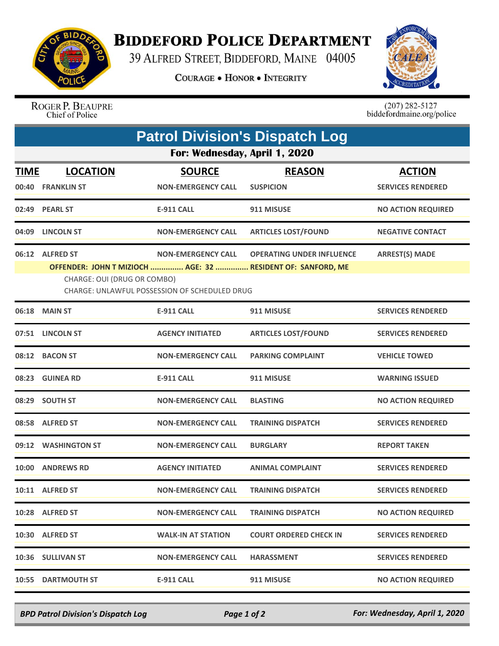

## **BIDDEFORD POLICE DEPARTMENT**

39 ALFRED STREET, BIDDEFORD, MAINE 04005

**COURAGE . HONOR . INTEGRITY** 



ROGER P. BEAUPRE<br>Chief of Police

 $(207)$  282-5127<br>biddefordmaine.org/police

| <b>Patrol Division's Dispatch Log</b><br>For: Wednesday, April 1, 2020 |                                                |                                                                            |                                                                                                 |                           |  |  |  |
|------------------------------------------------------------------------|------------------------------------------------|----------------------------------------------------------------------------|-------------------------------------------------------------------------------------------------|---------------------------|--|--|--|
|                                                                        |                                                |                                                                            |                                                                                                 |                           |  |  |  |
|                                                                        | 02:49 PEARL ST                                 | E-911 CALL                                                                 | 911 MISUSE                                                                                      | <b>NO ACTION REQUIRED</b> |  |  |  |
|                                                                        | 04:09 LINCOLN ST                               | <b>NON-EMERGENCY CALL</b>                                                  | <b>ARTICLES LOST/FOUND</b>                                                                      | <b>NEGATIVE CONTACT</b>   |  |  |  |
|                                                                        | 06:12 ALFRED ST<br>CHARGE: OUI (DRUG OR COMBO) | <b>NON-EMERGENCY CALL</b><br>CHARGE: UNLAWFUL POSSESSION OF SCHEDULED DRUG | <b>OPERATING UNDER INFLUENCE</b><br>OFFENDER: JOHN T MIZIOCH  AGE: 32  RESIDENT OF: SANFORD, ME | <b>ARREST(S) MADE</b>     |  |  |  |
|                                                                        | 06:18 MAIN ST                                  | <b>E-911 CALL</b>                                                          | 911 MISUSE                                                                                      | <b>SERVICES RENDERED</b>  |  |  |  |
|                                                                        | 07:51 LINCOLN ST                               | <b>AGENCY INITIATED</b>                                                    | <b>ARTICLES LOST/FOUND</b>                                                                      | <b>SERVICES RENDERED</b>  |  |  |  |
|                                                                        | 08:12 BACON ST                                 | <b>NON-EMERGENCY CALL</b>                                                  | <b>PARKING COMPLAINT</b>                                                                        | <b>VEHICLE TOWED</b>      |  |  |  |
|                                                                        | 08:23 GUINEA RD                                | <b>E-911 CALL</b>                                                          | 911 MISUSE                                                                                      | <b>WARNING ISSUED</b>     |  |  |  |
|                                                                        | 08:29 SOUTH ST                                 | <b>NON-EMERGENCY CALL</b>                                                  | <b>BLASTING</b>                                                                                 | <b>NO ACTION REQUIRED</b> |  |  |  |
|                                                                        | 08:58 ALFRED ST                                | <b>NON-EMERGENCY CALL</b>                                                  | <b>TRAINING DISPATCH</b>                                                                        | <b>SERVICES RENDERED</b>  |  |  |  |
|                                                                        | 09:12 WASHINGTON ST                            | <b>NON-EMERGENCY CALL</b>                                                  | <b>BURGLARY</b>                                                                                 | <b>REPORT TAKEN</b>       |  |  |  |
|                                                                        | 10:00 ANDREWS RD                               | <b>AGENCY INITIATED</b>                                                    | <b>ANIMAL COMPLAINT</b>                                                                         | <b>SERVICES RENDERED</b>  |  |  |  |
|                                                                        | 10:11 ALFRED ST                                | NON-EMERGENCY CALL                                                         | <b>TRAINING DISPATCH</b>                                                                        | <b>SERVICES RENDERED</b>  |  |  |  |
|                                                                        | 10:28 ALFRED ST                                | <b>NON-EMERGENCY CALL</b>                                                  | <b>TRAINING DISPATCH</b>                                                                        | <b>NO ACTION REQUIRED</b> |  |  |  |
|                                                                        | 10:30 ALFRED ST                                | <b>WALK-IN AT STATION</b>                                                  | <b>COURT ORDERED CHECK IN</b>                                                                   | <b>SERVICES RENDERED</b>  |  |  |  |
|                                                                        | 10:36 SULLIVAN ST                              | <b>NON-EMERGENCY CALL</b>                                                  | <b>HARASSMENT</b>                                                                               | <b>SERVICES RENDERED</b>  |  |  |  |
|                                                                        | 10:55 DARTMOUTH ST                             | <b>E-911 CALL</b>                                                          | 911 MISUSE                                                                                      | <b>NO ACTION REQUIRED</b> |  |  |  |

*BPD Patrol Division's Dispatch Log Page 1 of 2 For: Wednesday, April 1, 2020*